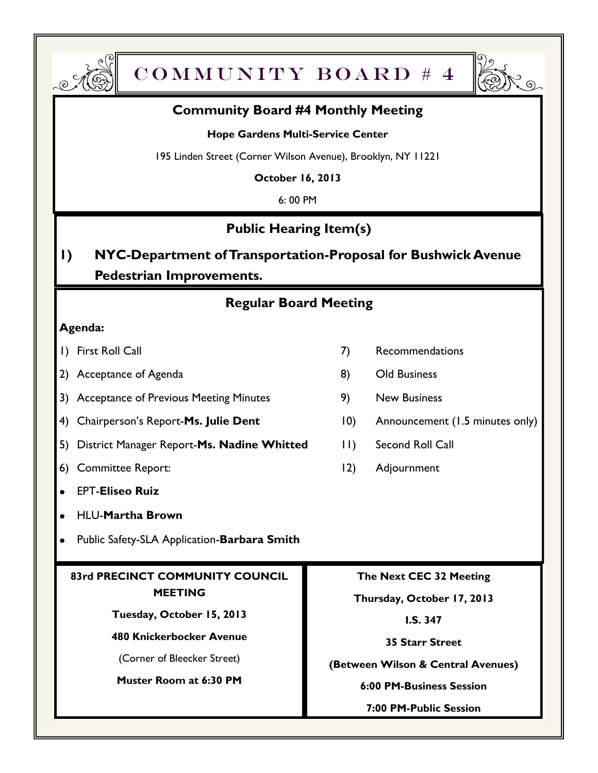



### **Community Board #4 Monthly Meeting**

#### **Hope Gardens Multi-Service Center**

195 Linden Street (Corner Wilson Avenue), Brooklyn, NY 11221

**October 16, 2013**

6: 00 PM

# **Public Hearing Item(s)**

# **1) NYC-Department of Transportation-Proposal for Bushwick Avenue Pedestrian Improvements.**

# **Regular Board Meeting**

#### **Agenda:**

- 
- 2) Acceptance of Agenda 8) Old Business
- 3) Acceptance of Previous Meeting Minutes 9) New Business
- 4) Chairperson's Report-Ms. Julie Dent 10) Announcement (1.5 minutes only)
- 5) District Manager Report-**Ms. Nadine Whitted** 11) Second Roll Call
- 6) Committee Report: 12) Adjournment
- EPT-**Eliseo Ruiz**  $\bullet$
- HLU-**Martha Brown**
- Public Safety-SLA Application-**Barbara Smith**  $\bullet$

#### **83rd PRECINCT COMMUNITY COUNCIL MEETING**

**Tuesday, October 15, 2013**

**480 Knickerbocker Avenue**

(Corner of Bleecker Street)

**Muster Room at 6:30 PM**

- 1) First Roll Call 7 Recommendations
	-
	-
	-
	-
	-

**The Next CEC 32 Meeting**

**Thursday, October 17, 2013**

**I.S. 347**

**35 Starr Street** 

**(Between Wilson & Central Avenues)**

**6:00 PM-Business Session**

**7:00 PM-Public Session**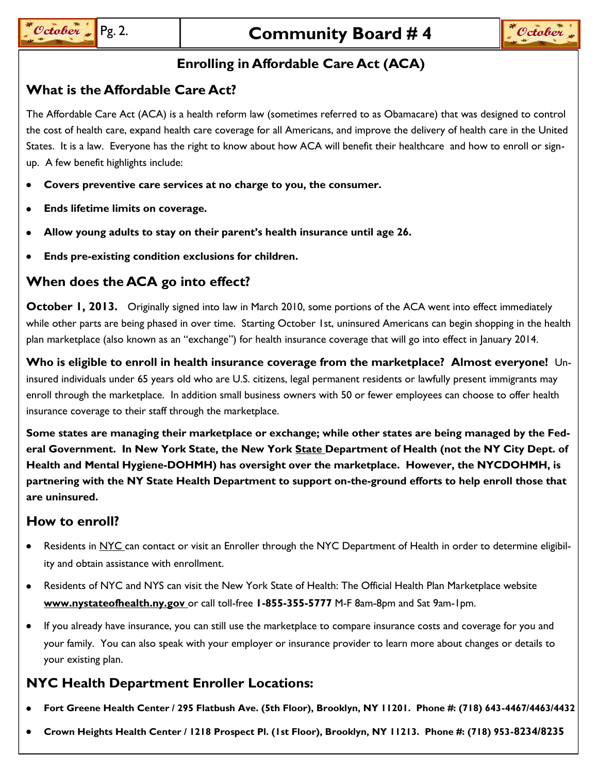## **Enrolling in Affordable Care Act (ACA)**

### **What is the Affordable Care Act?**

The Affordable Care Act (ACA) is a health reform law (sometimes referred to as Obamacare) that was designed to control the cost of health care, expand health care coverage for all Americans, and improve the delivery of health care in the United States. It is a law. Everyone has the right to know about how ACA will benefit their healthcare and how to enroll or signup. A few benefit highlights include:

- **Covers preventive care services at no charge to you, the consumer.**  $\bullet$
- **Ends lifetime limits on coverage.**
- **Allow young adults to stay on their parent's health insurance until age 26.**  $\bullet$
- **Ends pre-existing condition exclusions for children.**  $\bullet$

### **When does the ACA go into effect?**

**October 1, 2013.** Originally signed into law in March 2010, some portions of the ACA went into effect immediately while other parts are being phased in over time. Starting October 1st, uninsured Americans can begin shopping in the health plan marketplace (also known as an "exchange") for health insurance coverage that will go into effect in January 2014.

**Who is eligible to enroll in health insurance coverage from the marketplace? Almost everyone!** Uninsured individuals under 65 years old who are U.S. citizens, legal permanent residents or lawfully present immigrants may enroll through the marketplace. In addition small business owners with 50 or fewer employees can choose to offer health insurance coverage to their staff through the marketplace.

**Some states are managing their marketplace or exchange; while other states are being managed by the Federal Government. In New York State, the New York State Department of Health (not the NY City Dept. of Health and Mental Hygiene-DOHMH) has oversight over the marketplace. However, the NYCDOHMH, is partnering with the NY State Health Department to support on-the-ground efforts to help enroll those that are uninsured.**

### **How to enroll?**

- Residents in NYC can contact or visit an Enroller through the NYC Department of Health in order to determine eligibility and obtain assistance with enrollment.
- Residents of NYC and NYS can visit the New York State of Health: The Official Health Plan Marketplace website  $\bullet$ **www.nystateofhealth.ny.gov** or call toll-free **1-855-355-5777** M-F 8am-8pm and Sat 9am-1pm.
- $\bullet$ If you already have insurance, you can still use the marketplace to compare insurance costs and coverage for you and your family. You can also speak with your employer or insurance provider to learn more about changes or details to your existing plan.

## **NYC Health Department Enroller Locations:**

- **Fort Greene Health Center / 295 Flatbush Ave. (5th Floor), Brooklyn, NY 11201. Phone #: (718) 643-4467/4463/4432**
- **Crown Heights Health Center / 1218 Prospect Pl. (1st Floor), Brooklyn, NY 11213. Phone #: (718) 953-8234/8235**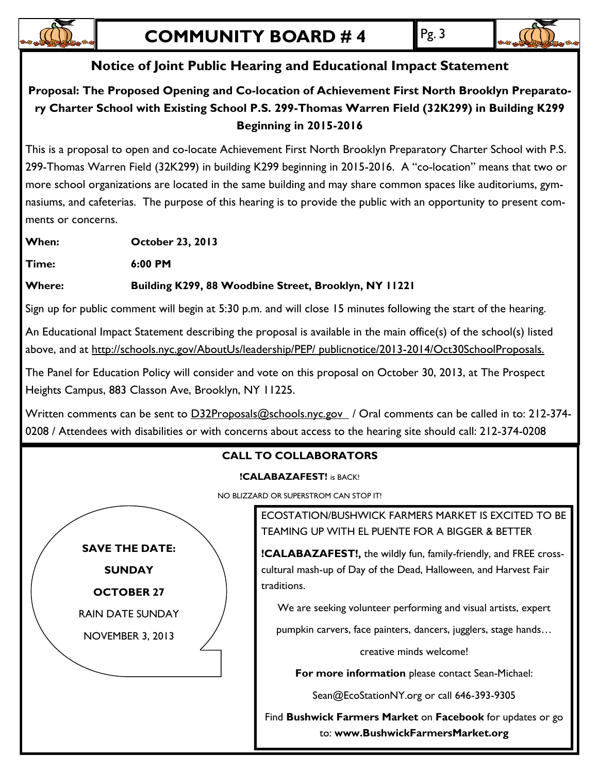

# **Notice of Joint Public Hearing and Educational Impact Statement**

## **Proposal: The Proposed Opening and Co-location of Achievement First North Brooklyn Preparatory Charter School with Existing School P.S. 299-Thomas Warren Field (32K299) in Building K299 Beginning in 2015-2016**

This is a proposal to open and co-locate Achievement First North Brooklyn Preparatory Charter School with P.S. 299-Thomas Warren Field (32K299) in building K299 beginning in 2015-2016. A "co-location" means that two or more school organizations are located in the same building and may share common spaces like auditoriums, gymnasiums, and cafeterias. The purpose of this hearing is to provide the public with an opportunity to present comments or concerns.

**When: October 23, 2013**

**Time: 6:00 PM**

### **Where: Building K299, 88 Woodbine Street, Brooklyn, NY 11221**

Sign up for public comment will begin at 5:30 p.m. and will close 15 minutes following the start of the hearing.

An Educational Impact Statement describing the proposal is available in the main office(s) of the school(s) listed above, and at http://schools.nyc.gov/AboutUs/leadership/PEP/ publicnotice/2013-2014/Oct30SchoolProposals.

The Panel for Education Policy will consider and vote on this proposal on October 30, 2013, at The Prospect Heights Campus, 883 Classon Ave, Brooklyn, NY 11225.

Written comments can be sent to D32Proposals@schools.nyc.gov / Oral comments can be called in to: 212-374-0208 / Attendees with disabilities or with concerns about access to the hearing site should call: 212-374-0208

### **CALL TO COLLABORATORS**

#### **!CALABAZAFEST!** is BACK!

NO BLIZZARD OR SUPERSTROM CAN STOP IT!



ECOSTATION/BUSHWICK FARMERS MARKET IS EXCITED TO BE TEAMING UP WITH EL PUENTE FOR A BIGGER & BETTER

**!CALABAZAFEST!,** the wildly fun, family-friendly, and FREE crosscultural mash-up of Day of the Dead, Halloween, and Harvest Fair traditions.

We are seeking volunteer performing and visual artists, expert

pumpkin carvers, face painters, dancers, jugglers, stage hands…

creative minds welcome!

**For more information** please contact Sean-Michael:

Sean@EcoStationNY.org or call 646-393-9305

Find **Bushwick Farmers Market** on **Facebook** for updates or go to: **www.BushwickFarmersMarket.org**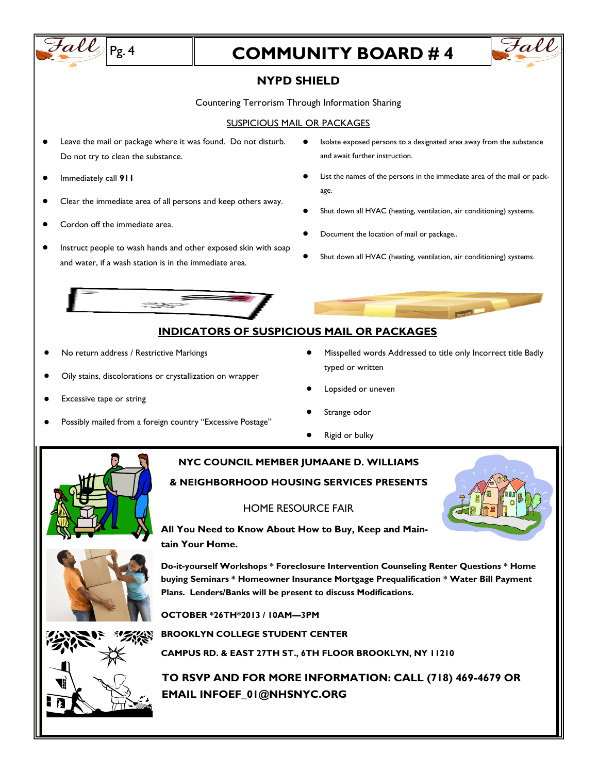

**TO RSVP AND FOR MORE INFORMATION: CALL (718) 469-4679 OR EMAIL INFOEF\_01@NHSNYC.ORG**